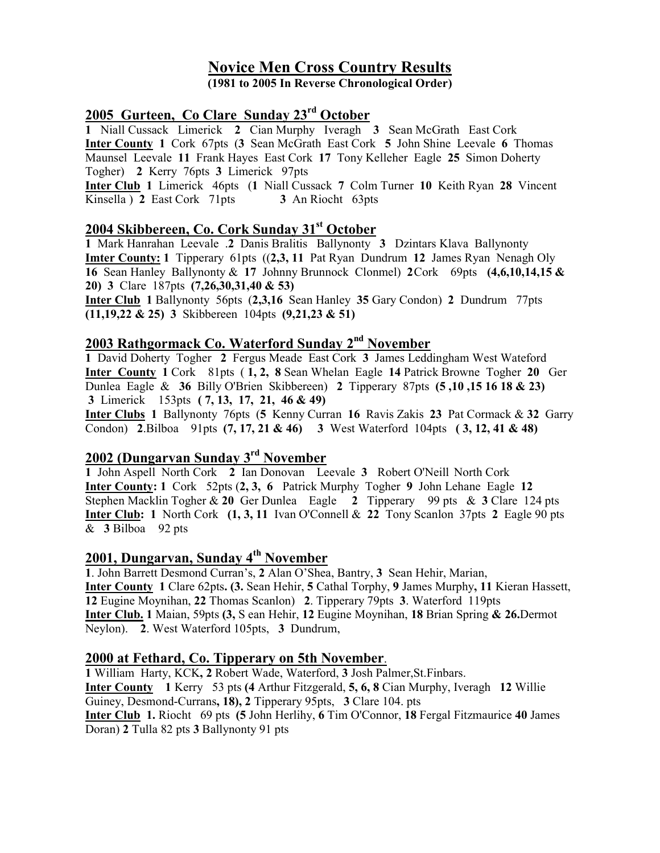# Novice Men Cross Country Results

(1981 to 2005 In Reverse Chronological Order)

# 2005 Gurteen, Co Clare Sunday 23rd October

1 Niall Cussack Limerick 2 Cian Murphy Iveragh 3 Sean McGrath East Cork Inter County 1 Cork 67pts (3 Sean McGrath East Cork 5 John Shine Leevale 6 Thomas Maunsel Leevale 11 Frank Hayes East Cork 17 Tony Kelleher Eagle 25 Simon Doherty Togher) 2 Kerry 76pts 3 Limerick 97pts

Inter Club 1 Limerick 46pts (1 Niall Cussack 7 Colm Turner 10 Keith Ryan 28 Vincent Kinsella ) 2 East Cork 71pts 3 An Riocht 63pts

## 2004 Skibbereen, Co. Cork Sunday 31<sup>st</sup> October

1 Mark Hanrahan Leevale .2 Danis Bralitis Ballynonty 3 Dzintars Klava Ballynonty Imter County: 1 Tipperary 61pts ((2,3, 11 Pat Ryan Dundrum 12 James Ryan Nenagh Oly 16 Sean Hanley Ballynonty & 17 Johnny Brunnock Clonmel) 2 Cork 69pts (4,6,10,14,15 & 20) 3 Clare 187pts (7,26,30,31,40 & 53)

Inter Club 1 Ballynonty 56pts (2,3,16 Sean Hanley 35 Gary Condon) 2 Dundrum 77pts (11,19,22 & 25) 3 Skibbereen 104pts (9,21,23 & 51)

## 2003 Rathgormack Co. Waterford Sunday 2<sup>nd</sup> November

1 David Doherty Togher 2 Fergus Meade East Cork 3 James Leddingham West Wateford Inter County 1 Cork 81pts ( 1, 2, 8 Sean Whelan Eagle 14 Patrick Browne Togher 20 Ger Dunlea Eagle & 36 Billy O'Brien Skibbereen) 2 Tipperary 87pts (5 ,10 ,15 16 18 & 23) 3 Limerick 153pts ( 7, 13, 17, 21, 46 & 49)

Inter Clubs 1 Ballynonty 76pts (5 Kenny Curran 16 Ravis Zakis 23 Pat Cormack & 32 Garry Condon) 2.Bilboa 91pts (7, 17, 21 & 46) 3 West Waterford 104pts ( 3, 12, 41 & 48)

# 2002 (Dungarvan Sunday 3rd November

1 John Aspell North Cork 2 Ian Donovan Leevale 3 Robert O'Neill North Cork Inter County: 1 Cork 52pts (2, 3, 6 Patrick Murphy Togher 9 John Lehane Eagle 12 Stephen Macklin Togher & 20 Ger Dunlea Eagle 2 Tipperary 99 pts & 3 Clare 124 pts **Inter Club:** 1 North Cork  $(1, 3, 11$  Ivan O'Connell & 22 Tony Scanlon 37pts 2 Eagle 90 pts & 3 Bilboa 92 pts

# 2001, Dungarvan, Sunday 4<sup>th</sup> November

1. John Barrett Desmond Curran's, 2 Alan O'Shea, Bantry, 3 Sean Hehir, Marian, Inter County 1 Clare 62pts. (3. Sean Hehir, 5 Cathal Torphy, 9 James Murphy, 11 Kieran Hassett, 12 Eugine Moynihan, 22 Thomas Scanlon) 2. Tipperary 79pts 3. Waterford 119pts Inter Club. 1 Maian, 59pts (3, S ean Hehir, 12 Eugine Moynihan, 18 Brian Spring & 26.Dermot Neylon). 2. West Waterford 105pts, 3 Dundrum,

#### 2000 at Fethard, Co. Tipperary on 5th November.

1 William Harty, KCK, 2 Robert Wade, Waterford, 3 Josh Palmer,St.Finbars. Inter County 1 Kerry 53 pts (4 Arthur Fitzgerald, 5, 6, 8 Cian Murphy, Iveragh 12 Willie Guiney, Desmond-Currans, 18), 2 Tipperary 95pts, 3 Clare 104. pts Inter Club 1. Riocht 69 pts (5 John Herlihy, 6 Tim O'Connor, 18 Fergal Fitzmaurice 40 James Doran) 2 Tulla 82 pts 3 Ballynonty 91 pts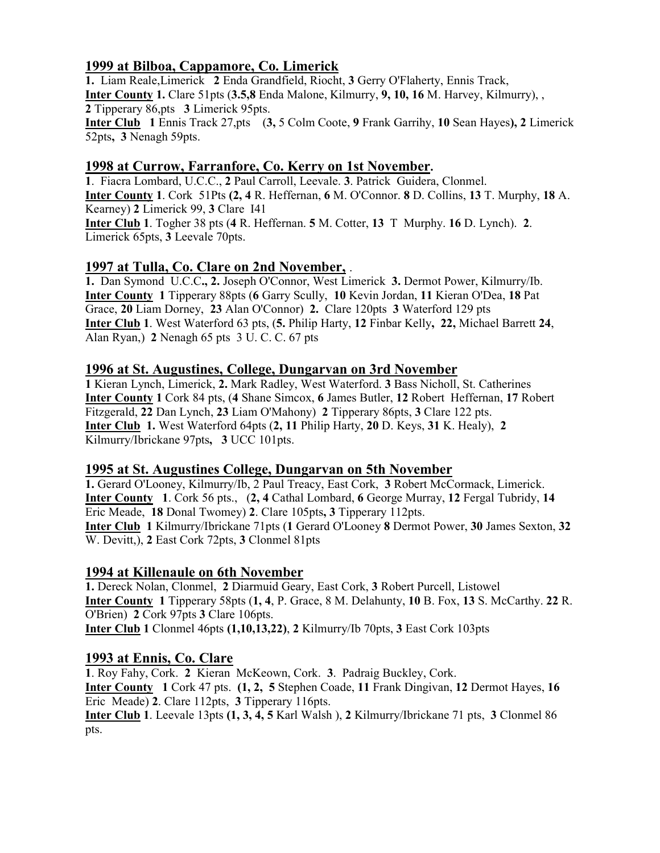## 1999 at Bilboa, Cappamore, Co. Limerick

1. Liam Reale,Limerick 2 Enda Grandfield, Riocht, 3 Gerry O'Flaherty, Ennis Track, Inter County 1. Clare 51pts (3.5,8 Enda Malone, Kilmurry, 9, 10, 16 M. Harvey, Kilmurry), , 2 Tipperary 86,pts 3 Limerick 95pts. Inter Club 1 Ennis Track 27,pts (3, 5 Colm Coote, 9 Frank Garrihy, 10 Sean Hayes), 2 Limerick 52pts, 3 Nenagh 59pts.

#### 1998 at Currow, Farranfore, Co. Kerry on 1st November.

1. Fiacra Lombard, U.C.C., 2 Paul Carroll, Leevale. 3. Patrick Guidera, Clonmel. Inter County 1. Cork 51Pts (2, 4 R. Heffernan, 6 M. O'Connor. 8 D. Collins, 13 T. Murphy, 18 A. Kearney) 2 Limerick 99, 3 Clare I41 Inter Club 1. Togher 38 pts (4 R. Heffernan. 5 M. Cotter, 13 T Murphy. 16 D. Lynch). 2. Limerick 65pts, 3 Leevale 70pts.

### 1997 at Tulla, Co. Clare on 2nd November, .

1. Dan Symond U.C.C., 2. Joseph O'Connor, West Limerick 3. Dermot Power, Kilmurry/Ib. Inter County 1 Tipperary 88pts (6 Garry Scully, 10 Kevin Jordan, 11 Kieran O'Dea, 18 Pat Grace, 20 Liam Dorney, 23 Alan O'Connor) 2. Clare 120pts 3 Waterford 129 pts Inter Club 1. West Waterford 63 pts, (5. Philip Harty, 12 Finbar Kelly, 22, Michael Barrett 24, Alan Ryan,) 2 Nenagh 65 pts 3 U. C. C. 67 pts

### 1996 at St. Augustines, College, Dungarvan on 3rd November

1 Kieran Lynch, Limerick, 2. Mark Radley, West Waterford. 3 Bass Nicholl, St. Catherines Inter County 1 Cork 84 pts, (4 Shane Simcox, 6 James Butler, 12 Robert Heffernan, 17 Robert Fitzgerald, 22 Dan Lynch, 23 Liam O'Mahony) 2 Tipperary 86pts, 3 Clare 122 pts. Inter Club 1. West Waterford 64pts (2, 11 Philip Harty, 20 D. Keys, 31 K. Healy), 2 Kilmurry/Ibrickane 97pts, 3 UCC 101pts.

#### 1995 at St. Augustines College, Dungarvan on 5th November

1. Gerard O'Looney, Kilmurry/Ib, 2 Paul Treacy, East Cork, 3 Robert McCormack, Limerick. Inter County 1. Cork 56 pts., (2, 4 Cathal Lombard, 6 George Murray, 12 Fergal Tubridy, 14 Eric Meade, 18 Donal Twomey) 2. Clare 105pts, 3 Tipperary 112pts. Inter Club 1 Kilmurry/Ibrickane 71pts (1 Gerard O'Looney 8 Dermot Power, 30 James Sexton, 32 W. Devitt,), 2 East Cork 72pts, 3 Clonmel 81pts

#### 1994 at Killenaule on 6th November

1. Dereck Nolan, Clonmel, 2 Diarmuid Geary, East Cork, 3 Robert Purcell, Listowel Inter County 1 Tipperary 58pts (1, 4, P. Grace, 8 M. Delahunty, 10 B. Fox, 13 S. McCarthy. 22 R. O'Brien) 2 Cork 97pts 3 Clare 106pts. Inter Club 1 Clonmel 46pts (1,10,13,22), 2 Kilmurry/Ib 70pts, 3 East Cork 103pts

#### 1993 at Ennis, Co. Clare

1. Roy Fahy, Cork. 2 Kieran McKeown, Cork. 3. Padraig Buckley, Cork. Inter County 1 Cork 47 pts. (1, 2, 5 Stephen Coade, 11 Frank Dingivan, 12 Dermot Hayes, 16 Eric Meade) 2. Clare 112pts, 3 Tipperary 116pts. Inter Club 1. Leevale 13pts (1, 3, 4, 5 Karl Walsh ), 2 Kilmurry/Ibrickane 71 pts, 3 Clonmel 86 pts.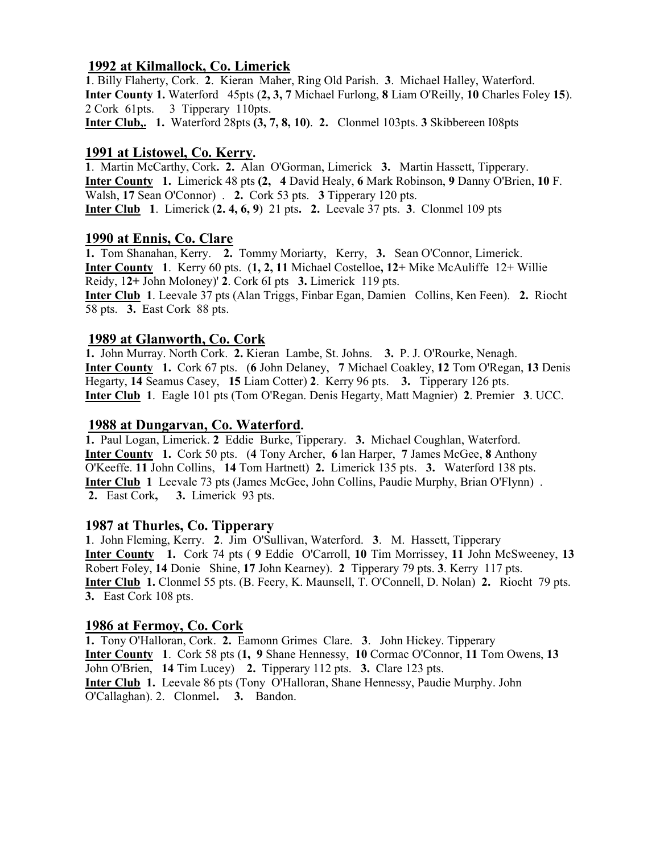#### 1992 at Kilmallock, Co. Limerick

1. Billy Flaherty, Cork. 2. Kieran Maher, Ring Old Parish. 3. Michael Halley, Waterford. Inter County 1. Waterford 45pts (2, 3, 7 Michael Furlong, 8 Liam O'Reilly, 10 Charles Foley 15). 2 Cork 61pts. 3 Tipperary 110pts.

## Inter Club,. 1. Waterford 28pts (3, 7, 8, 10). 2. Clonmel 103pts. 3 Skibbereen I08pts

#### 1991 at Listowel, Co. Kerry.

1. Martin McCarthy, Cork. 2. Alan O'Gorman, Limerick 3. Martin Hassett, Tipperary. Inter County 1. Limerick 48 pts (2, 4 David Healy, 6 Mark Robinson, 9 Danny O'Brien, 10 F. Walsh, 17 Sean O'Connor) . 2. Cork 53 pts. 3 Tipperary 120 pts. **Inter Club** 1. Limerick  $(2, 4, 6, 9)$  21 pts. 2. Leevale 37 pts. 3. Clonmel 109 pts

#### 1990 at Ennis, Co. Clare

1. Tom Shanahan, Kerry. 2. Tommy Moriarty, Kerry, 3. Sean O'Connor, Limerick. Inter County 1. Kerry 60 pts. (1, 2, 11 Michael Costelloe, 12+ Mike McAuliffe 12+ Willie Reidy, 12+ John Moloney)' 2. Cork 6I pts 3. Limerick 119 pts. Inter Club 1. Leevale 37 pts (Alan Triggs, Finbar Egan, Damien Collins, Ken Feen). 2. Riocht 58 pts. 3. East Cork 88 pts.

### 1989 at Glanworth, Co. Cork

1. John Murray. North Cork. 2. Kieran Lambe, St. Johns. 3. P. J. O'Rourke, Nenagh. Inter County 1. Cork 67 pts. (6 John Delaney, 7 Michael Coakley, 12 Tom O'Regan, 13 Denis Hegarty, 14 Seamus Casey, 15 Liam Cotter) 2. Kerry 96 pts. 3. Tipperary 126 pts. Inter Club 1. Eagle 101 pts (Tom O'Regan. Denis Hegarty, Matt Magnier) 2. Premier 3. UCC.

### 1988 at Dungarvan, Co. Waterford.

1. Paul Logan, Limerick. 2 Eddie Burke, Tipperary. 3. Michael Coughlan, Waterford. Inter County 1. Cork 50 pts. (4 Tony Archer, 6 lan Harper, 7 James McGee, 8 Anthony O'Keeffe. 11 John Collins, 14 Tom Hartnett) 2. Limerick 135 pts. 3. Waterford 138 pts. Inter Club 1 Leevale 73 pts (James McGee, John Collins, Paudie Murphy, Brian O'Flynn) . 2. East Cork, 3. Limerick 93 pts.

#### 1987 at Thurles, Co. Tipperary

1. John Fleming, Kerry. 2. Jim O'Sullivan, Waterford. 3. M. Hassett, Tipperary Inter County 1. Cork 74 pts ( 9 Eddie O'Carroll, 10 Tim Morrissey, 11 John McSweeney, 13 Robert Foley, 14 Donie Shine, 17 John Kearney). 2 Tipperary 79 pts. 3. Kerry 117 pts. Inter Club 1. Clonmel 55 pts. (B. Feery, K. Maunsell, T. O'Connell, D. Nolan) 2. Riocht 79 pts. 3. East Cork 108 pts.

#### 1986 at Fermoy, Co. Cork

1. Tony O'Halloran, Cork. 2. Eamonn Grimes Clare. 3. John Hickey. Tipperary Inter County 1. Cork 58 pts (1, 9 Shane Hennessy, 10 Cormac O'Connor, 11 Tom Owens, 13 John O'Brien, 14 Tim Lucey) 2. Tipperary 112 pts. 3. Clare 123 pts. Inter Club 1. Leevale 86 pts (Tony O'Halloran, Shane Hennessy, Paudie Murphy. John O'Callaghan). 2. Clonmel. 3. Bandon.